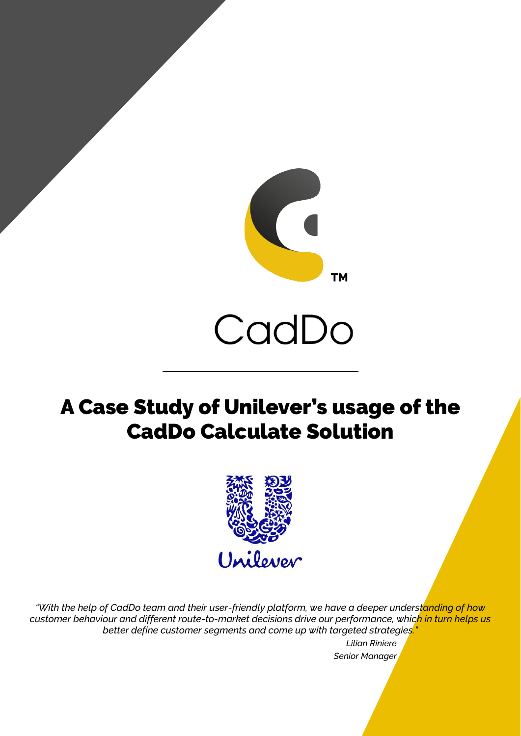

# CadDo

# A Case Study of Unilever's usage of the CadDo Calculate Solution



*"With the help of CadDo team and their user-friendly platform, we have a deeper understanding of how customer behaviour and different route-to-market decisions drive our performance, which in turn helps us better define customer segments and come up with targeted strategies."*

*Lilian Riniere Senior Manager*